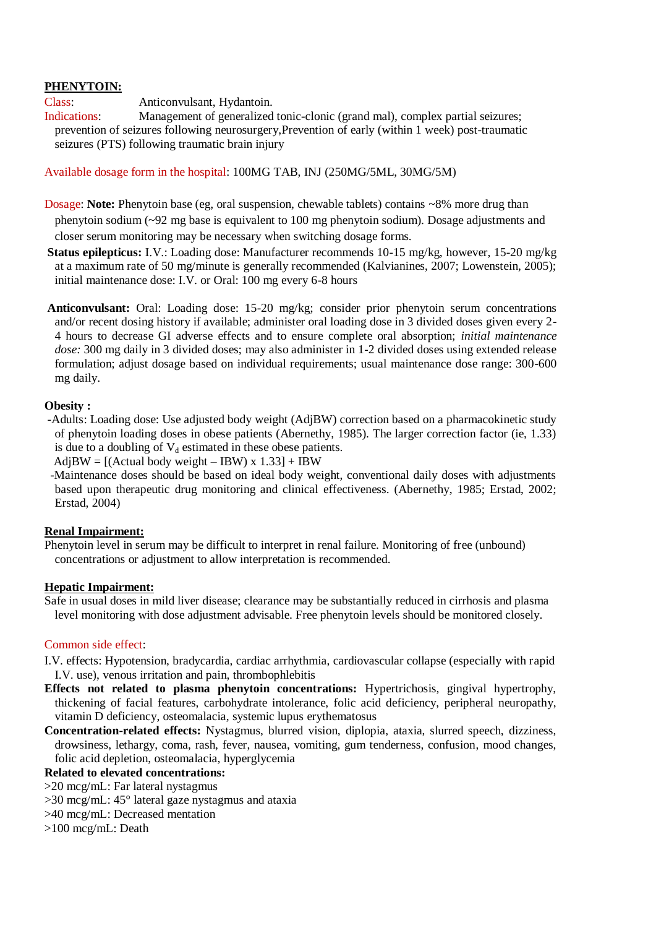## **PHENYTOIN:**

Class: Anticonvulsant, Hydantoin.

Indications: Management of generalized tonic-clonic (grand mal), complex partial seizures; prevention of seizures following neurosurgery,Prevention of early (within 1 week) post-traumatic seizures (PTS) following traumatic brain injury

## Available dosage form in the hospital: 100MG TAB, INJ (250MG/5ML, 30MG/5M)

Dosage: **Note:** Phenytoin base (eg, oral suspension, chewable tablets) contains ~8% more drug than phenytoin sodium (~92 mg base is equivalent to 100 mg phenytoin sodium). Dosage adjustments and closer serum monitoring may be necessary when switching dosage forms.

**Status epilepticus:** I.V.: Loading dose: Manufacturer recommends 10-15 mg/kg, however, 15-20 mg/kg at a maximum rate of 50 mg/minute is generally recommended (Kalvianines, 2007; Lowenstein, 2005); initial maintenance dose: I.V. or Oral: 100 mg every 6-8 hours

**Anticonvulsant:** Oral: Loading dose: 15-20 mg/kg; consider prior phenytoin serum concentrations and/or recent dosing history if available; administer oral loading dose in 3 divided doses given every 2- 4 hours to decrease GI adverse effects and to ensure complete oral absorption; *initial maintenance dose:* 300 mg daily in 3 divided doses; may also administer in 1-2 divided doses using extended release formulation; adjust dosage based on individual requirements; usual maintenance dose range: 300-600 mg daily.

## **Obesity :**

-Adults: Loading dose: Use adjusted body weight (AdjBW) correction based on a pharmacokinetic study of phenytoin loading doses in obese patients (Abernethy, 1985). The larger correction factor (ie, 1.33) is due to a doubling of  $V_d$  estimated in these obese patients.

 $AdjBW = [(Actual body weight - IBW)x 1.33] + IBW$ 

 -Maintenance doses should be based on ideal body weight, conventional daily doses with adjustments based upon therapeutic drug monitoring and clinical effectiveness. (Abernethy, 1985; Erstad, 2002; Erstad, 2004)

#### **Renal Impairment:**

Phenytoin level in serum may be difficult to interpret in renal failure. Monitoring of free (unbound) concentrations or adjustment to allow interpretation is recommended.

#### **Hepatic Impairment:**

Safe in usual doses in mild liver disease; clearance may be substantially reduced in cirrhosis and plasma level monitoring with dose adjustment advisable. Free phenytoin levels should be monitored closely.

## Common side effect:

- I.V. effects: Hypotension, bradycardia, cardiac arrhythmia, cardiovascular collapse (especially with rapid I.V. use), venous irritation and pain, thrombophlebitis
- **Effects not related to plasma phenytoin concentrations:** Hypertrichosis, gingival hypertrophy, thickening of facial features, carbohydrate intolerance, folic acid deficiency, peripheral neuropathy, vitamin D deficiency, osteomalacia, systemic lupus erythematosus
- **Concentration-related effects:** Nystagmus, blurred vision, diplopia, ataxia, slurred speech, dizziness, drowsiness, lethargy, coma, rash, fever, nausea, vomiting, gum tenderness, confusion, mood changes, folic acid depletion, osteomalacia, hyperglycemia

# **Related to elevated concentrations:**

>20 mcg/mL: Far lateral nystagmus

- >30 mcg/mL: 45° lateral gaze nystagmus and ataxia
- >40 mcg/mL: Decreased mentation

>100 mcg/mL: Death